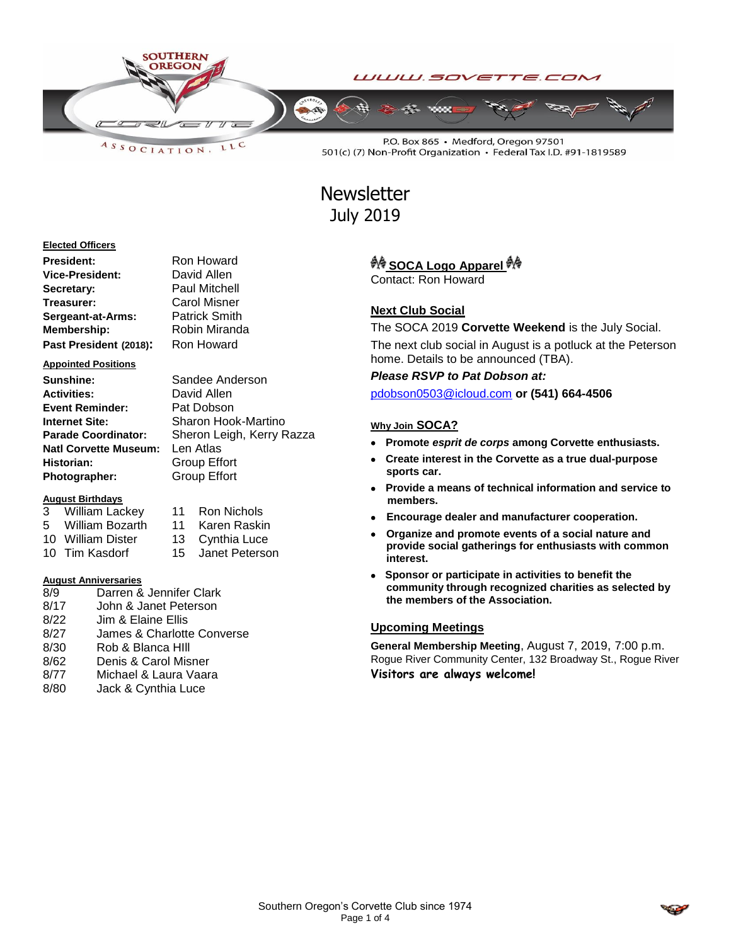

LLC ASSOCIATION.

> Sandee Anderson **David Allen Pat Dobson**

**Sharon Hook-Martino Sheron Leigh, Kerry Razza** 

P.O. Box 865 · Medford, Oregon 97501 501(c) (7) Non-Profit Organization · Federal Tax I.D. #91-1819589

# **Newsletter** July 2019

### **Elected Officers**

| President:             | Ron Howard           |
|------------------------|----------------------|
| Vice-President:        | David Allen          |
| Secretary:             | <b>Paul Mitchell</b> |
| Treasurer:             | Carol Misner         |
| Sergeant-at-Arms:      | <b>Patrick Smith</b> |
| Membership:            | Robin Miranda        |
| Past President (2018): | Ron Howard           |

### **Appointed Positions**

| Sunshine:                    | Sandee And          |
|------------------------------|---------------------|
| <b>Activities:</b>           | David Allen         |
| <b>Event Reminder:</b>       | Pat Dobson          |
| Internet Site:               | Sharon Hool         |
| <b>Parade Coordinator:</b>   | Sheron Leigh        |
| <b>Natl Corvette Museum:</b> | Len Atlas           |
| Historian:                   | Group Effort        |
| Photographer:                | <b>Group Effort</b> |

### **August Birthdays**

| 3 | William Lackey    | 11 Ron Nichols  |
|---|-------------------|-----------------|
|   | 5 William Bozarth | 11 Karen Raskin |
|   | 10 William Dister | 13 Cynthia Luce |

10 Tim Kasdorf 15 Janet Peterson

### **August Anniversaries**

8/9 Darren & Jennifer Clark 8/17 John & Janet Peterson 8/22 Jim & Elaine Ellis 8/27 James & Charlotte Converse 8/30 Rob & Blanca HIll 8/62 Denis & Carol Misner 8/77 Michael & Laura Vaara 8/80 Jack & Cynthia Luce

### <sup>教</sup> SOCA Logo Apparel <sup>教</sup>

Contact: Ron Howard

### **Next Club Social**

The SOCA 2019 **Corvette Weekend** is the July Social. The next club social in August is a potluck at the Peterson home. Details to be announced (TBA).

*Please RSVP to Pat Dobson at:*

[pdobson0503@icloud.com](mailto:pdobson0503@icloud.com) **or (541) 664-4506**

### **Why Join SOCA?**

- **Promote** *esprit de corps* **among Corvette enthusiasts.**
- **Create interest in the Corvette as a true dual-purpose sports car.**
- **Provide a means of technical information and service to members.**
- **Encourage dealer and manufacturer cooperation.**
- **Organize and promote events of a social nature and provide social gatherings for enthusiasts with common interest.**
- **Sponsor or participate in activities to benefit the community through recognized charities as selected by the members of the Association.**

### **Upcoming Meetings**

**General Membership Meeting**, August 7, 2019, 7:00 p.m. Rogue River Community Center, 132 Broadway St., Rogue River **Visitors are always welcome!**

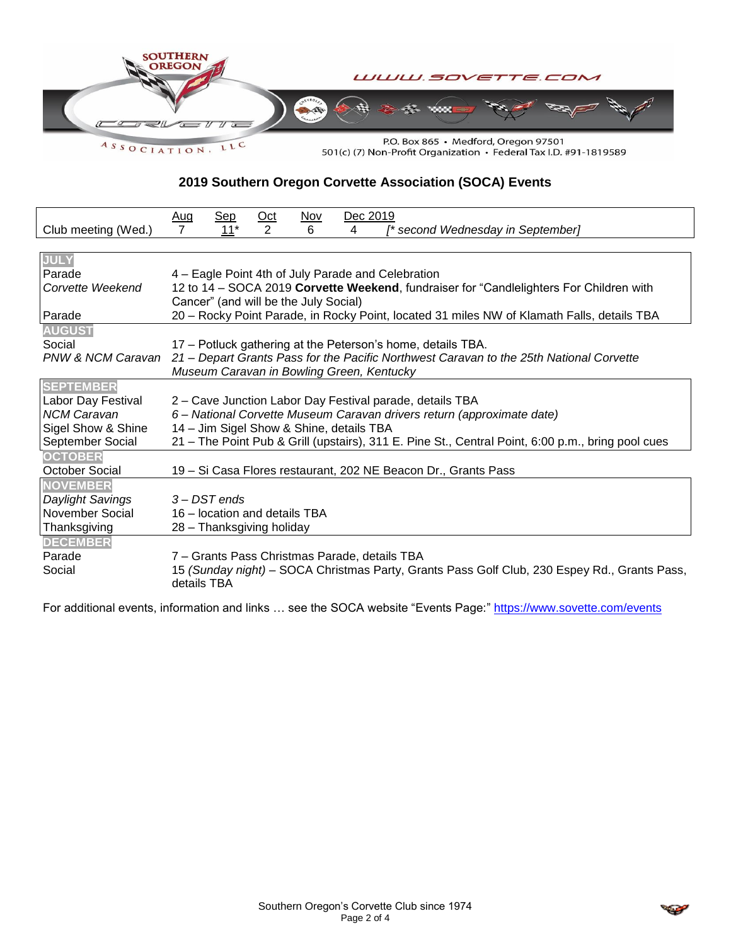

**2019 Southern Oregon Corvette Association (SOCA) Events**

|                       | <b>Sep</b><br><u>Nov</u><br>Dec 2019<br>$rac{\text{Oct}}{2}$<br>$\frac{\text{Aug}}{7}$                      |  |  |
|-----------------------|-------------------------------------------------------------------------------------------------------------|--|--|
| Club meeting (Wed.)   | $11*$<br>6<br>4<br>[* second Wednesday in September]                                                        |  |  |
|                       |                                                                                                             |  |  |
| <b>JULY</b>           |                                                                                                             |  |  |
| Parade                | 4 – Eagle Point 4th of July Parade and Celebration                                                          |  |  |
| Corvette Weekend      | 12 to 14 - SOCA 2019 Corvette Weekend, fundraiser for "Candlelighters For Children with                     |  |  |
|                       | Cancer" (and will be the July Social)                                                                       |  |  |
| Parade                | 20 - Rocky Point Parade, in Rocky Point, located 31 miles NW of Klamath Falls, details TBA                  |  |  |
| <b>AUGUST</b>         |                                                                                                             |  |  |
| Social                | 17 – Potluck gathering at the Peterson's home, details TBA.                                                 |  |  |
| PNW & NCM Caravan     | 21 – Depart Grants Pass for the Pacific Northwest Caravan to the 25th National Corvette                     |  |  |
|                       | Museum Caravan in Bowling Green, Kentucky                                                                   |  |  |
| <b>SEPTEMBER</b>      |                                                                                                             |  |  |
| Labor Day Festival    | 2 – Cave Junction Labor Day Festival parade, details TBA                                                    |  |  |
| <b>NCM Caravan</b>    | 6 – National Corvette Museum Caravan drivers return (approximate date)                                      |  |  |
| Sigel Show & Shine    | 14 - Jim Sigel Show & Shine, details TBA                                                                    |  |  |
| September Social      | 21 – The Point Pub & Grill (upstairs), 311 E. Pine St., Central Point, 6:00 p.m., bring pool cues           |  |  |
| <b>OCTOBER</b>        |                                                                                                             |  |  |
| <b>October Social</b> | 19 - Si Casa Flores restaurant, 202 NE Beacon Dr., Grants Pass                                              |  |  |
| <b>NOVEMBER</b>       |                                                                                                             |  |  |
| Daylight Savings      | 3 – DST ends                                                                                                |  |  |
| November Social       | 16 – location and details TBA                                                                               |  |  |
| Thanksgiving          | 28 - Thanksgiving holiday                                                                                   |  |  |
| <b>DECEMBER</b>       |                                                                                                             |  |  |
| Parade                | 7 – Grants Pass Christmas Parade, details TBA                                                               |  |  |
| Social                | 15 (Sunday night) - SOCA Christmas Party, Grants Pass Golf Club, 230 Espey Rd., Grants Pass,<br>details TBA |  |  |

For additional events, information and links ... see the SOCA website "Events Page:"<https://www.sovette.com/events>

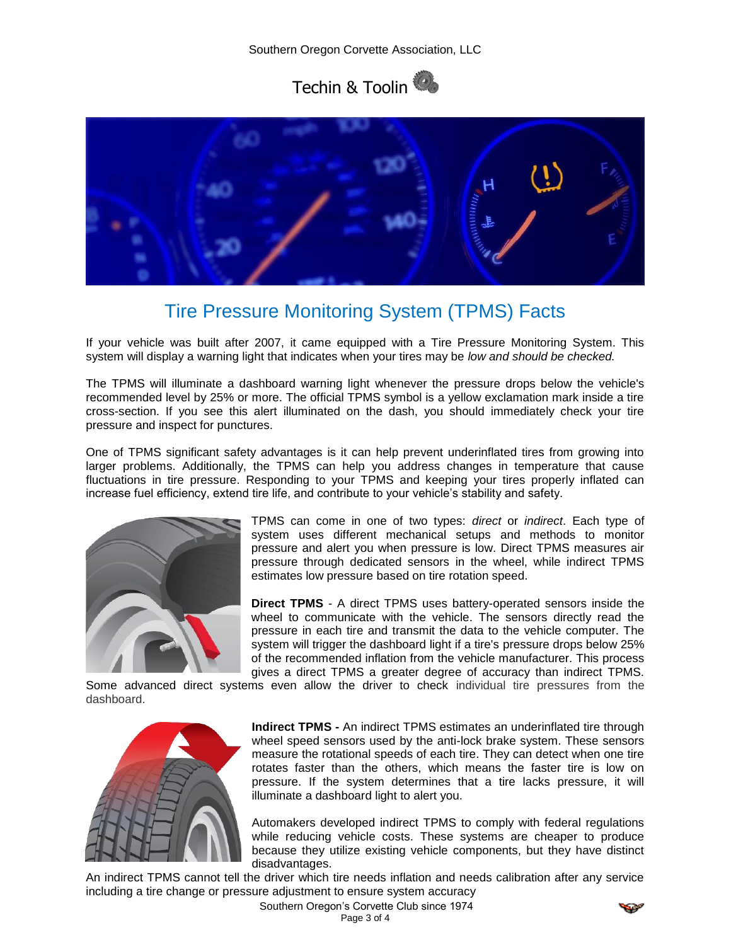



## Tire Pressure Monitoring System (TPMS) Facts

If your vehicle was built after 2007, it came equipped with a Tire Pressure Monitoring System. This system will display a warning light that indicates when your tires may be *low and should be checked.*

The TPMS will illuminate a dashboard warning light whenever the pressure drops below the vehicle's recommended level by 25% or more. The official TPMS symbol is a yellow exclamation mark inside a tire cross-section. If you see this alert illuminated on the dash, you should immediately check your tire pressure and inspect for punctures.

One of TPMS significant safety advantages is it can help prevent underinflated tires from growing into larger problems. Additionally, the TPMS can help you address changes in temperature that cause fluctuations in tire pressure. Responding to your TPMS and keeping your tires properly inflated can increase fuel efficiency, extend tire life, and contribute to your vehicle's stability and safety.



TPMS can come in one of two types: *direct* or *indirect*. Each type of system uses different mechanical setups and methods to monitor pressure and alert you when pressure is low. Direct TPMS measures air pressure through dedicated sensors in the wheel, while indirect TPMS estimates low pressure based on tire rotation speed.

**Direct TPMS** - A direct TPMS uses battery-operated sensors inside the wheel to communicate with the vehicle. The sensors directly read the pressure in each tire and transmit the data to the vehicle computer. The system will trigger the dashboard light if a tire's pressure drops below 25% of the recommended inflation from the vehicle manufacturer. This process gives a direct TPMS a greater degree of accuracy than indirect TPMS.

Some advanced direct systems even allow the driver to check individual tire pressures from the dashboard.



**Indirect TPMS -** An indirect TPMS estimates an underinflated tire through wheel speed sensors used by the anti-lock brake system. These sensors measure the rotational speeds of each tire. They can detect when one tire rotates faster than the others, which means the faster tire is low on pressure. If the system determines that a tire lacks pressure, it will illuminate a dashboard light to alert you.

Automakers developed indirect TPMS to comply with federal regulations while reducing vehicle costs. These systems are cheaper to produce because they utilize existing vehicle components, but they have distinct disadvantages.

An indirect TPMS cannot tell the driver which tire needs inflation and needs calibration after any service including a tire change or pressure adjustment to ensure system accuracy

> Southern Oregon's Corvette Club since 1974 Page 3 of 4